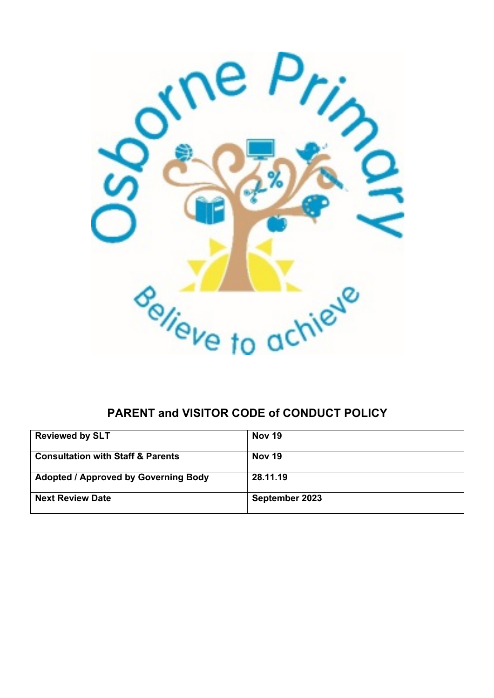

# **PARENT and VISITOR CODE of CONDUCT POLICY**

| <b>Reviewed by SLT</b>                       | Nov 19         |
|----------------------------------------------|----------------|
| <b>Consultation with Staff &amp; Parents</b> | Nov 19         |
| <b>Adopted / Approved by Governing Body</b>  | 28.11.19       |
| <b>Next Review Date</b>                      | September 2023 |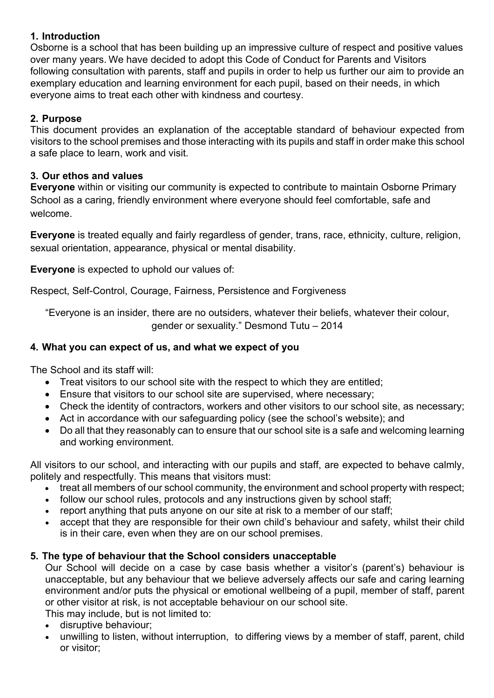## **1. Introduction**

Osborne is a school that has been building up an impressive culture of respect and positive values over many years. We have decided to adopt this Code of Conduct for Parents and Visitors following consultation with parents, staff and pupils in order to help us further our aim to provide an exemplary education and learning environment for each pupil, based on their needs, in which everyone aims to treat each other with kindness and courtesy.

## **2. Purpose**

This document provides an explanation of the acceptable standard of behaviour expected from visitors to the school premises and those interacting with its pupils and staff in order make this school a safe place to learn, work and visit.

## **3. Our ethos and values**

**Everyone** within or visiting our community is expected to contribute to maintain Osborne Primary School as a caring, friendly environment where everyone should feel comfortable, safe and welcome.

**Everyone** is treated equally and fairly regardless of gender, trans, race, ethnicity, culture, religion, sexual orientation, appearance, physical or mental disability.

**Everyone** is expected to uphold our values of:

Respect, Self-Control, Courage, Fairness, Persistence and Forgiveness

"Everyone is an insider, there are no outsiders, whatever their beliefs, whatever their colour, gender or sexuality." Desmond Tutu – 2014

## **4. What you can expect of us, and what we expect of you**

The School and its staff will:

- Treat visitors to our school site with the respect to which they are entitled;
- Ensure that visitors to our school site are supervised, where necessary;
- Check the identity of contractors, workers and other visitors to our school site, as necessary;
- Act in accordance with our safeguarding policy (see the school's website); and
- Do all that they reasonably can to ensure that our school site is a safe and welcoming learning and working environment.

All visitors to our school, and interacting with our pupils and staff, are expected to behave calmly, politely and respectfully. This means that visitors must:

- treat all members of our school community, the environment and school property with respect;
- follow our school rules, protocols and any instructions given by school staff;
- report anything that puts anyone on our site at risk to a member of our staff;
- accept that they are responsible for their own child's behaviour and safety, whilst their child is in their care, even when they are on our school premises.

## **5. The type of behaviour that the School considers unacceptable**

Our School will decide on a case by case basis whether a visitor's (parent's) behaviour is unacceptable, but any behaviour that we believe adversely affects our safe and caring learning environment and/or puts the physical or emotional wellbeing of a pupil, member of staff, parent or other visitor at risk, is not acceptable behaviour on our school site.

This may include, but is not limited to:

- disruptive behaviour;
- unwilling to listen, without interruption, to differing views by a member of staff, parent, child or visitor;